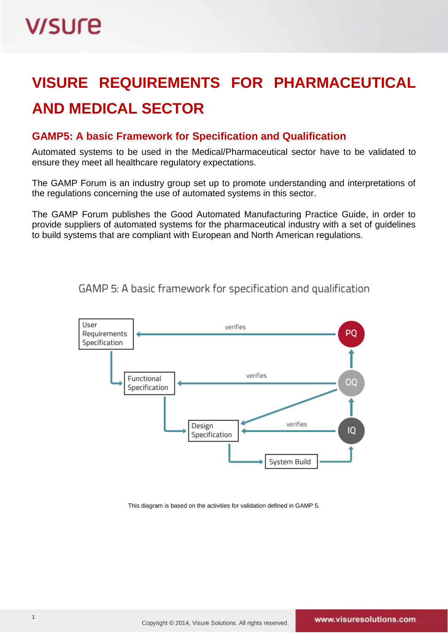### **VISURE REQUIREMENTS FOR PHARMACEUTICAL AND MEDICAL SECTOR**

### **GAMP5: A basic Framework for Specification and Qualification**

Automated systems to be used in the Medical/Pharmaceutical sector have to be validated to ensure they meet all healthcare regulatory expectations.

The GAMP Forum is an industry group set up to promote understanding and interpretations of the regulations concerning the use of automated systems in this sector.

The GAMP Forum publishes the Good Automated Manufacturing Practice Guide, in order to provide suppliers of automated systems for the pharmaceutical industry with a set of guidelines to build systems that are compliant with European and North American regulations.



GAMP 5: A basic framework for specification and qualification

This diagram is based on the activities for validation defined in GAMP 5.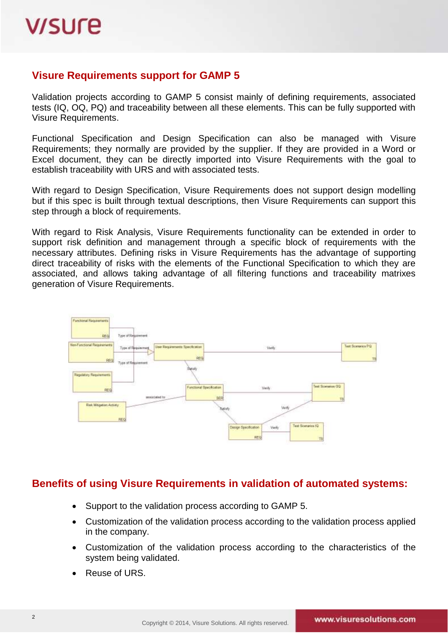#### **Visure Requirements support for GAMP 5**

Validation projects according to GAMP 5 consist mainly of defining requirements, associated tests (IQ, OQ, PQ) and traceability between all these elements. This can be fully supported with Visure Requirements.

Functional Specification and Design Specification can also be managed with Visure Requirements; they normally are provided by the supplier. If they are provided in a Word or Excel document, they can be directly imported into Visure Requirements with the goal to establish traceability with URS and with associated tests.

With regard to Design Specification, Visure Requirements does not support design modelling but if this spec is built through textual descriptions, then Visure Requirements can support this step through a block of requirements.

With regard to Risk Analysis, Visure Requirements functionality can be extended in order to support risk definition and management through a specific block of requirements with the necessary attributes. Defining risks in Visure Requirements has the advantage of supporting direct traceability of risks with the elements of the Functional Specification to which they are associated, and allows taking advantage of all filtering functions and traceability matrixes generation of Visure Requirements.



#### **Benefits of using Visure Requirements in validation of automated systems:**

- Support to the validation process according to GAMP 5.
- Customization of the validation process according to the validation process applied in the company.
- Customization of the validation process according to the characteristics of the system being validated.
- Reuse of URS.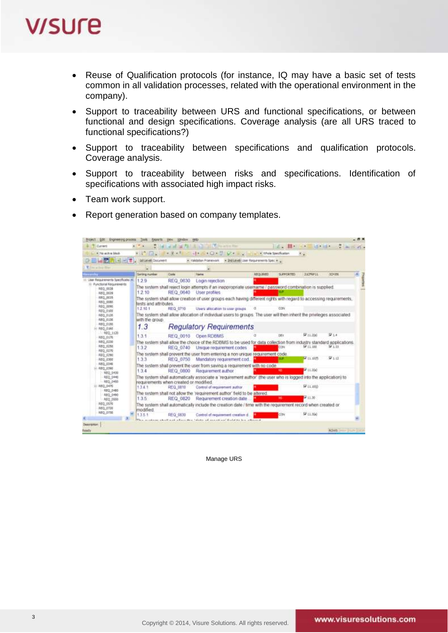# **V/SUre**

- Reuse of Qualification protocols (for instance, IQ may have a basic set of tests common in all validation processes, related with the operational environment in the company).
- Support to traceability between URS and functional specifications, or between functional and design specifications. Coverage analysis (are all URS traced to functional specifications?)
- Support to traceability between specifications and qualification protocols. Coverage analysis.
- Support to traceability between risks and specifications. Identification of specifications with associated high impact risks.
- Team work support.
- Report generation based on company templates.



#### Manage URS